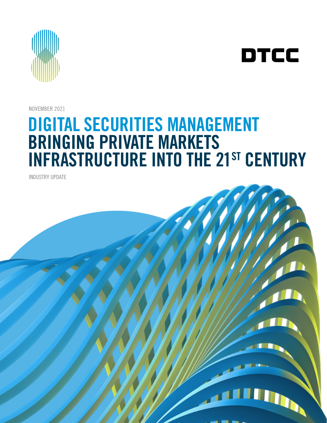

DTCC

NOVEMBER 2021

# DIGITAL SECURITIES MANAGEMENT BRINGING PRIVATE MARKETS **INFRASTRUCTURE INTO THE 21ST CENTURY**

INDUSTRY UPDATE

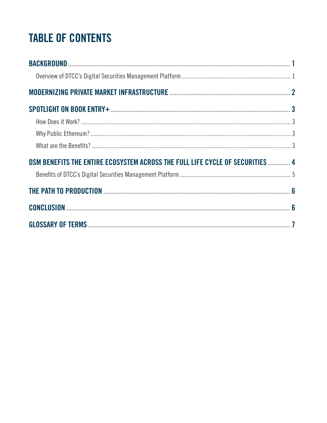# **TABLE OF CONTENTS**

| DSM BENEFITS THE ENTIRE ECOSYSTEM ACROSS THE FULL LIFE CYCLE OF SECURITIES  4 |  |
|-------------------------------------------------------------------------------|--|
|                                                                               |  |
|                                                                               |  |
|                                                                               |  |
|                                                                               |  |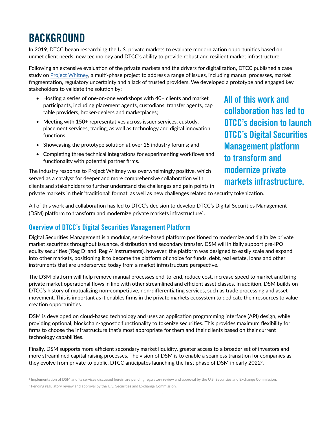## <span id="page-2-0"></span>**BACKGROUND**

In 2019, DTCC began researching the U.S. private markets to evaluate modernization opportunities based on unmet client needs, new technology and DTCC's ability to provide robust and resilient market infrastructure.

Following an extensive evaluation of the private markets and the drivers for digitalization, DTCC published a case study on [Project Whitney](https://www.dtcc.com/~/media/Files/Downloads/settlement-asset-services/user-documentation/Project-Whitney-Paper.pdf), a multi-phase project to address a range of issues, including manual processes, market fragmentation, regulatory uncertainty and a lack of trusted providers. We developed a prototype and engaged key stakeholders to validate the solution by:

- Hosting a series of one-on-one workshops with 40+ clients and market participants, including placement agents, custodians, transfer agents, cap table providers, broker-dealers and marketplaces;
- Meeting with 150+ representatives across issuer services, custody, placement services, trading, as well as technology and digital innovation functions;
- Showcasing the prototype solution at over 15 industry forums; and
- Completing three technical integrations for experimenting workflows and functionality with potential partner firms.

The industry response to Project Whitney was overwhelmingly positive, which served as a catalyst for deeper and more comprehensive collaboration with clients and stakeholders to further understand the challenges and pain points in All of this work and collaboration has led to DTCC's decision to launch DTCC's Digital Securities Management platform to transform and modernize private markets infrastructure.

private markets in their 'traditional' format, as well as new challenges related to security tokenization.

All of this work and collaboration has led to DTCC's decision to develop DTCC's Digital Securities Management (DSM) platform to transform and modernize private markets infrastructure<sup>1</sup>.

#### Overview of DTCC's Digital Securities Management Platform

Digital Securities Management is a modular, service-based platform positioned to modernize and digitalize private market securities throughout issuance, distribution and secondary transfer. DSM will initially support pre-IPO equity securities ('Reg D' and 'Reg A' instruments), however, the platform was designed to easily scale and expand into other markets, positioning it to become the platform of choice for funds, debt, real estate, loans and other instruments that are underserved today from a market infrastructure perspective.

The DSM platform will help remove manual processes end-to-end, reduce cost, increase speed to market and bring private market operational flows in line with other streamlined and efficient asset classes. In addition, DSM builds on DTCC's history of mutualizing non-competitive, non-differentiating services, such as trade processing and asset movement. This is important as it enables firms in the private markets ecosystem to dedicate their resources to value creation opportunities.

DSM is developed on cloud-based technology and uses an application programming interface (API) design, while providing optional, blockchain-agnostic functionality to tokenize securities. This provides maximum flexibility for firms to choose the infrastructure that's most appropriate for them and their clients based on their current technology capabilities.

Finally, DSM supports more efficient secondary market liquidity, greater access to a broader set of investors and more streamlined capital raising processes. The vision of DSM is to enable a seamless transition for companies as they evolve from private to public. DTCC anticipates launching the first phase of DSM in early 2022<sup>2</sup>.

<sup>&</sup>lt;sup>1</sup> Implementation of DSM and its services discussed herein are pending regulatory review and approval by the U.S. Securities and Exchange Commission.

<sup>2</sup> Pending regulatory review and approval by the U.S. Securities and Exchange Commission.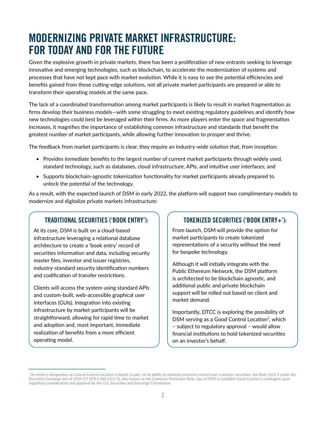### <span id="page-3-0"></span>MODERNIZING PRIVATE MARKET INFRASTRUCTURE: FOR TODAY AND FOR THE FUTURE

Given the explosive growth in private markets, there has been a proliferation of new entrants seeking to leverage innovative and emerging technologies, such as blockchain, to accelerate the modernization of systems and processes that have not kept pace with market evolution. While it is easy to see the potential efficiencies and benefits gained from these cutting-edge solutions, not all private market participants are prepared or able to transform their operating models at the same pace.

The lack of a coordinated transformation among market participants is likely to result in market fragmentation as firms develop their business models—with some struggling to meet existing regulatory guidelines and identify how new technologies could best be leveraged within their firms. As more players enter the space and fragmentation increases, it magnifies the importance of establishing common infrastructure and standards that benefit the greatest number of market participants, while allowing further innovation to prosper and thrive.

The feedback from market participants is clear, they require an industry-wide solution that, from inception:

- Provides immediate benefits to the largest number of current market participants through widely used, standard technology, such as databases, cloud infrastructure, APIs, and intuitive user interfaces; and
- Supports blockchain-agnostic tokenization functionality for market participants already prepared to unlock the potential of the technology.

As a result, with the expected launch of DSM in early 2022, the platform will support two complimentary models to modernize and digitalize private markets infrastructure:

#### TRADITIONAL SECURITIES ('BOOK ENTRY'):

At its core, DSM is built on a cloud-based infrastructure leveraging a relational database architecture to create a 'book entry' record of securities information and data, including security master files, investor and issuer registries, industry-standard security identification numbers and codification of transfer restrictions.

Clients will access the system using standard APIs and custom-built, web-accessible graphical user interfaces (GUIs). Integration into existing infrastructure by market participants will be straightforward, allowing for rapid time to market and adoption and, most important, immediate realization of benefits from a more efficient operating model.

#### TOKENIZED SECURITIES ('BOOK ENTRY+'):

From launch, DSM will provide the option for market participants to create tokenized representations of a security without the need for bespoke technology.

Although it will initially integrate with the Public Ethereum Network, the DSM platform is architected to be blockchain agnostic, and additional public and private blockchain support will be rolled out based on client and market demand.

Importantly, DTCC is exploring the possibility of DSM serving as a Good Control Location<sup>3</sup>, which – subject to regulatory approval – would allow financial institutions to hold tokenized securities on an investor's behalf.

<sup>&</sup>lt;sup>3</sup> An entity's designation as a Good Control Location is based, in part, on its ability to maintain exclusive control over customer securities. See Rule 15c3-3 under the Securities Exchange Act of 1934 (17 CFR § 240.15c3-3), also known as the Customer Protection Rule. Use of DSM to establish Good Control is contingent upon regulatory consideration and approval by the U.S. Securities and Exchange Commission.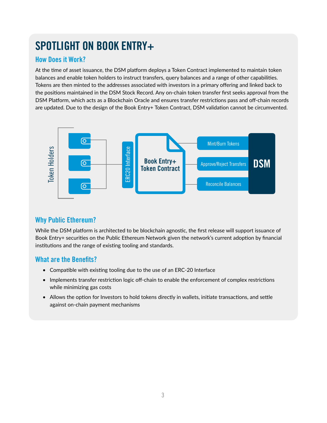# <span id="page-4-0"></span>SPOTLIGHT ON BOOK ENTRY+

#### How Does it Work?

At the time of asset issuance, the DSM platform deploys a Token Contract implemented to maintain token balances and enable token holders to instruct transfers, query balances and a range of other capabilities. Tokens are then minted to the addresses associated with investors in a primary offering and linked back to the positions maintained in the DSM Stock Record. Any on-chain token transfer first seeks approval from the DSM Platform, which acts as a Blockchain Oracle and ensures transfer restrictions pass and off-chain records are updated. Due to the design of the Book Entry+ Token Contract, DSM validation cannot be circumvented.



#### Why Public Ethereum?

While the DSM platform is architected to be blockchain agnostic, the first release will support issuance of Book Entry+ securities on the Public Ethereum Network given the network's current adoption by financial institutions and the range of existing tooling and standards.

#### What are the Benefits?

- Compatible with existing tooling due to the use of an ERC-20 Interface
- Implements transfer restriction logic off-chain to enable the enforcement of complex restrictions while minimizing gas costs
- Allows the option for Investors to hold tokens directly in wallets, initiate transactions, and settle against on-chain payment mechanisms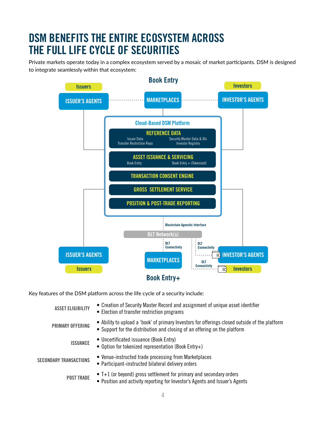### <span id="page-5-0"></span>DSM BENEFITS THE ENTIRE ECOSYSTEM ACROSS THE FULL LIFE CYCLE OF SECURITIES

Private markets operate today in a complex ecosystem served by a mosaic of market participants. DSM is designed to integrate seamlessly within that ecosystem:



Key features of the DSM platform across the life cycle of a security include:

| <b>ASSET ELIGIBILITY</b>      | • Creation of Security Master Record and assignment of unique asset identifier<br>• Election of transfer restriction programs                                               |
|-------------------------------|-----------------------------------------------------------------------------------------------------------------------------------------------------------------------------|
| <b>PRIMARY OFFERING</b>       | • Ability to upload a 'book' of primary Investors for offerings closed outside of the platform<br>• Support for the distribution and closing of an offering on the platform |
| <b>ISSUANCE</b>               | • Uncertificated issuance (Book Entry)<br>• Option for tokenized representation (Book Entry+)                                                                               |
| <b>SECONDARY TRANSACTIONS</b> | • Venue-instructed trade processing from Marketplaces<br>• Participant-instructed bilateral delivery orders                                                                 |
| <b>POST TRADE</b>             | $\bullet$ T+1 (or beyond) gross settlement for primary and secondary orders<br>• Position and activity reporting for Investor's Agents and Issuer's Agents                  |
|                               |                                                                                                                                                                             |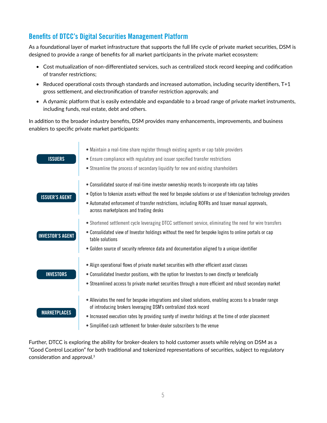#### Benefits of DTCC's Digital Securities Management Platform

As a foundational layer of market infrastructure that supports the full life cycle of private market securities, DSM is designed to provide a range of benefits for all market participants in the private market ecosystem:

- Cost mutualization of non-differentiated services, such as centralized stock record keeping and codification of transfer restrictions;
- Reduced operational costs through standards and increased automation, including security identifiers, T+1 gross settlement, and electronification of transfer restriction approvals; and
- A dynamic platform that is easily extendable and expandable to a broad range of private market instruments, including funds, real estate, debt and others.

In addition to the broader industry benefits, DSM provides many enhancements, improvements, and business enablers to specific private market participants:



Further, DTCC is exploring the ability for broker-dealers to hold customer assets while relying on DSM as a "Good Control Location" for both traditional and tokenized representations of securities, subject to regulatory consideration and approval.3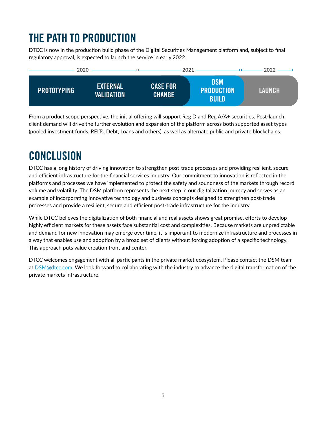# <span id="page-7-0"></span>THE PATH TO PRODUCTION

DTCC is now in the production build phase of the Digital Securities Management platform and, subject to final regulatory approval, is expected to launch the service in early 2022.



From a product scope perspective, the initial offering will support Reg D and Reg A/A+ securities. Post-launch, client demand will drive the further evolution and expansion of the platform across both supported asset types (pooled investment funds, REITs, Debt, Loans and others), as well as alternate public and private blockchains.

# **CONCLUSION**

DTCC has a long history of driving innovation to strengthen post-trade processes and providing resilient, secure and efficient infrastructure for the financial services industry. Our commitment to innovation is reflected in the platforms and processes we have implemented to protect the safety and soundness of the markets through record volume and volatility. The DSM platform represents the next step in our digitalization journey and serves as an example of incorporating innovative technology and business concepts designed to strengthen post-trade processes and provide a resilient, secure and efficient post-trade infrastructure for the industry.

While DTCC believes the digitalization of both financial and real assets shows great promise, efforts to develop highly efficient markets for these assets face substantial cost and complexities. Because markets are unpredictable and demand for new innovation may emerge over time, it is important to modernize infrastructure and processes in a way that enables use and adoption by a broad set of clients without forcing adoption of a specific technology. This approach puts value creation front and center.

DTCC welcomes engagement with all participants in the private market ecosystem. Please contact the DSM team at [DSM@dtcc.com.](mailto:DSM%40dtcc.com?subject=Digital%20Securities%20Management%20Industry%20Update) We look forward to collaborating with the industry to advance the digital transformation of the private markets infrastructure.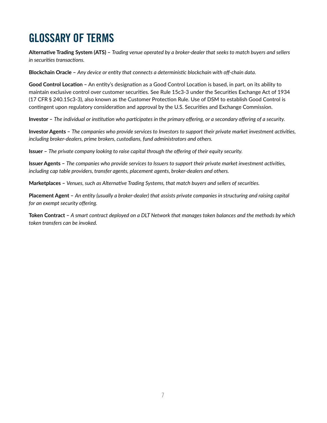### <span id="page-8-0"></span>GLOSSARY OF TERMS

**Alternative Trading System (ATS) –** *Trading venue operated by a broker-dealer that seeks to match buyers and sellers in securities transactions.*

**Blockchain Oracle –** *Any device or entity that connects a deterministic blockchain with off-chain data.*

**Good Control Location –** An entity's designation as a Good Control Location is based, in part, on its ability to maintain exclusive control over customer securities. See Rule 15c3-3 under the Securities Exchange Act of 1934 (17 CFR § 240.15c3-3), also known as the Customer Protection Rule. Use of DSM to establish Good Control is contingent upon regulatory consideration and approval by the U.S. Securities and Exchange Commission.

**Investor –** *The individual or institution who participates in the primary offering, or a secondary offering of a security.*

**Investor Agents –** *The companies who provide services to Investors to support their private market investment activities, including broker-dealers, prime brokers, custodians, fund administrators and others.*

**Issuer –** *The private company looking to raise capital through the offering of their equity security.*

**Issuer Agents –** *The companies who provide services to Issuers to support their private market investment activities, including cap table providers, transfer agents, placement agents, broker-dealers and others.*

**Marketplaces –** *Venues, such as Alternative Trading Systems, that match buyers and sellers of securities.*

**Placement Agent –** *An entity (usually a broker-dealer) that assists private companies in structuring and raising capital for an exempt security offering.*

**Token Contract –** *A smart contract deployed on a DLT Network that manages token balances and the methods by which token transfers can be invoked.*